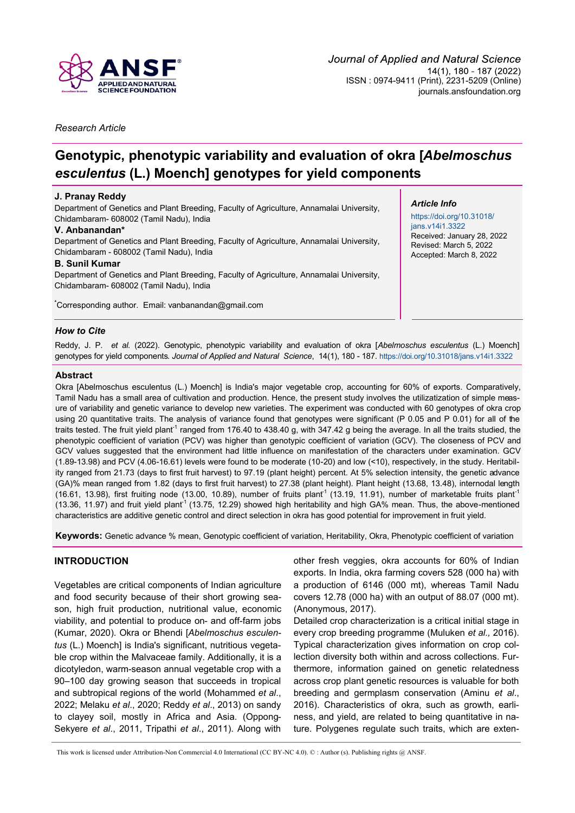

*Research Article*

# **Genotypic, phenotypic variability and evaluation of okra [***Abelmoschus esculentus* **(L.) Moench] genotypes for yield components**

# **J. Pranay Reddy**

Department of Genetics and Plant Breeding, Faculty of Agriculture, Annamalai University, Chidambaram- 608002 (Tamil Nadu), India

# **V. Anbanandan\***

Department of Genetics and Plant Breeding, Faculty of Agriculture, Annamalai University, Chidambaram - 608002 (Tamil Nadu), India

# **B. Sunil Kumar**

Department of Genetics and Plant Breeding, Faculty of Agriculture, Annamalai University, Chidambaram- 608002 (Tamil Nadu), India

**\***Corresponding author. Email: [vanbanandan@gmail.com](mailto:vanbanandan@gmail.com)

# *Article Info*

[https://doi.org/10.31018/](https://doi.org/10.31018/jans.v14i1.3322) [jans.v14i1.3322](https://doi.org/10.31018/jans.v14i1.3322) Received: January 28, 2022 Revised: March 5, 2022 Accepted: March 8, 2022

# *How to Cite*

Reddy, J. P. *et al.* (2022). Genotypic, phenotypic variability and evaluation of okra [*Abelmoschus esculentus* (L.) Moench] genotypes for yield components. *Journal of Applied and Natural Science*, 14(1), 180 - 187. <https://doi.org/10.31018/jans.v14i1.3322>

# **Abstract**

Okra [Abelmoschus esculentus (L.) Moench] is India's major vegetable crop, accounting for 60% of exports. Comparatively, Tamil Nadu has a small area of cultivation and production. Hence, the present study involves the utilizatization of simple measure of variability and genetic variance to develop new varieties. The experiment was conducted with 60 genotypes of okra crop using 20 quantitative traits. The analysis of variance found that genotypes were significant (P 0.05 and P 0.01) for all of the traits tested. The fruit yield plant<sup>1</sup> ranged from 176.40 to 438.40 g, with 347.42 g being the average. In all the traits studied, the phenotypic coefficient of variation (PCV) was higher than genotypic coefficient of variation (GCV). The closeness of PCV and GCV values suggested that the environment had little influence on manifestation of the characters under examination. GCV (1.89-13.98) and PCV (4.06-16.61) levels were found to be moderate (10-20) and low (<10), respectively, in the study. Heritability ranged from 21.73 (days to first fruit harvest) to 97.19 (plant height) percent. At 5% selection intensity, the genetic advance (GA)% mean ranged from 1.82 (days to first fruit harvest) to 27.38 (plant height). Plant height (13.68, 13.48), internodal length (16.61, 13.98), first fruiting node (13.00, 10.89), number of fruits plant<sup>1</sup> (13.19, 11.91), number of marketable fruits plant<sup>-1</sup> (13.36, 11.97) and fruit yield plant<sup>-1</sup> (13.75, 12.29) showed high heritability and high GA% mean. Thus, the above-mentioned characteristics are additive genetic control and direct selection in okra has good potential for improvement in fruit yield.

**Keywords:** Genetic advance % mean, Genotypic coefficient of variation, Heritability, Okra, Phenotypic coefficient of variation

# **INTRODUCTION**

Vegetables are critical components of Indian agriculture and food security because of their short growing season, high fruit production, nutritional value, economic viability, and potential to produce on- and off-farm jobs (Kumar, 2020). Okra or Bhendi [*Abelmoschus esculentus* (L.) Moench] is India's significant, nutritious vegetable crop within the Malvaceae family. Additionally, it is a dicotyledon, warm-season annual vegetable crop with a 90–100 day growing season that succeeds in tropical and subtropical regions of the world (Mohammed *et al*., 2022; Melaku *et al*., 2020; Reddy *et al*., 2013) on sandy to clayey soil, mostly in Africa and Asia. (Oppong-Sekyere *et al*., 2011, Tripathi *et al*., 2011). Along with

other fresh veggies, okra accounts for 60% of Indian exports. In India, okra farming covers 528 (000 ha) with a production of 6146 (000 mt), whereas Tamil Nadu covers 12.78 (000 ha) with an output of 88.07 (000 mt). (Anonymous, 2017).

Detailed crop characterization is a critical initial stage in every crop breeding programme (Muluken *et al.,* 2016). Typical characterization gives information on crop collection diversity both within and across collections. Furthermore, information gained on genetic relatedness across crop plant genetic resources is valuable for both breeding and germplasm conservation (Aminu *et al*., 2016). Characteristics of okra, such as growth, earliness, and yield, are related to being quantitative in nature. Polygenes regulate such traits, which are exten-

This work is licensed under Attribution-Non Commercial 4.0 International (CC BY-NC 4.0). © : Author (s). Publishing rights @ ANSF.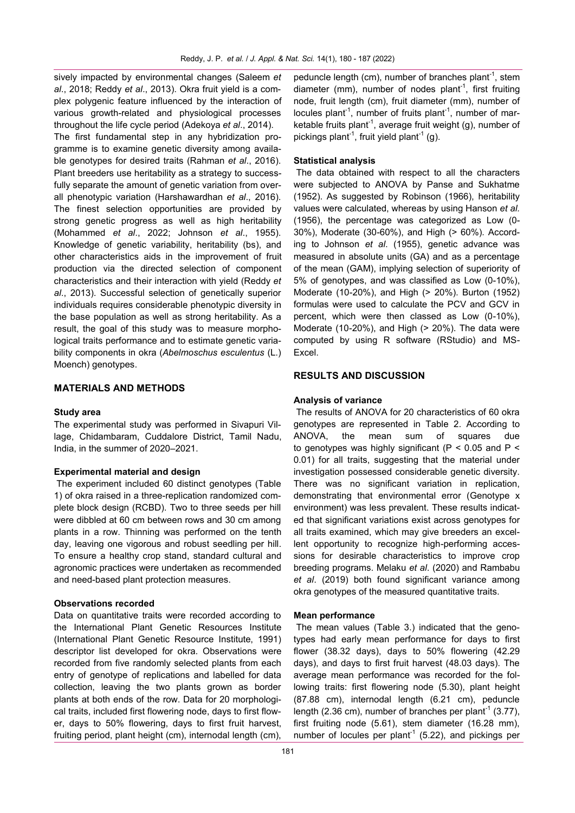sively impacted by environmental changes (Saleem *et al*., 2018; Reddy *et al*., 2013). Okra fruit yield is a complex polygenic feature influenced by the interaction of various growth-related and physiological processes throughout the life cycle period (Adekoya *et al*., 2014).

The first fundamental step in any hybridization programme is to examine genetic diversity among available genotypes for desired traits (Rahman *et al*., 2016). Plant breeders use heritability as a strategy to successfully separate the amount of genetic variation from overall phenotypic variation (Harshawardhan *et al*., 2016). The finest selection opportunities are provided by strong genetic progress as well as high heritability (Mohammed *et al*., 2022; Johnson *et al*., 1955). Knowledge of genetic variability, heritability (bs), and other characteristics aids in the improvement of fruit production via the directed selection of component characteristics and their interaction with yield (Reddy *et al*., 2013). Successful selection of genetically superior individuals requires considerable phenotypic diversity in the base population as well as strong heritability. As a result, the goal of this study was to measure morphological traits performance and to estimate genetic variability components in okra (*Abelmoschus esculentus* (L.) Moench) genotypes.

# **MATERIALS AND METHODS**

## **Study area**

The experimental study was performed in Sivapuri Village, Chidambaram, Cuddalore District, Tamil Nadu, India, in the summer of 2020–2021.

## **Experimental material and design**

The experiment included 60 distinct genotypes (Table 1) of okra raised in a three-replication randomized complete block design (RCBD). Two to three seeds per hill were dibbled at 60 cm between rows and 30 cm among plants in a row. Thinning was performed on the tenth day, leaving one vigorous and robust seedling per hill. To ensure a healthy crop stand, standard cultural and agronomic practices were undertaken as recommended and need-based plant protection measures.

#### **Observations recorded**

Data on quantitative traits were recorded according to the International Plant Genetic Resources Institute (International Plant Genetic Resource Institute, 1991) descriptor list developed for okra. Observations were recorded from five randomly selected plants from each entry of genotype of replications and labelled for data collection, leaving the two plants grown as border plants at both ends of the row. Data for 20 morphological traits, included first flowering node, days to first flower, days to 50% flowering, days to first fruit harvest, fruiting period, plant height (cm), internodal length (cm),

peduncle length (cm), number of branches plant<sup>-1</sup>, stem diameter (mm), number of nodes plant<sup>-1</sup>, first fruiting node, fruit length (cm), fruit diameter (mm), number of locules plant<sup>-1</sup>, number of fruits plant<sup>-1</sup>, number of marketable fruits plant<sup>-1</sup>, average fruit weight (g), number of pickings plant<sup>-1</sup>, fruit yield plant<sup>-1</sup> (g).

# **Statistical analysis**

The data obtained with respect to all the characters were subjected to ANOVA by Panse and Sukhatme (1952). As suggested by Robinson (1966), heritability values were calculated, whereas by using Hanson *et al.* (1956), the percentage was categorized as Low (0- 30%), Moderate (30-60%), and High (> 60%)*.* According to Johnson *et al*. (1955), genetic advance was measured in absolute units (GA) and as a percentage of the mean (GAM), implying selection of superiority of 5% of genotypes, and was classified as Low (0-10%), Moderate (10-20%), and High (> 20%). Burton (1952). formulas were used to calculate the PCV and GCV in percent, which were then classed as Low (0-10%), Moderate (10-20%), and High (> 20%). The data were computed by using R software (RStudio) and MS-Excel.

# **RESULTS AND DISCUSSION**

#### **Analysis of variance**

The results of ANOVA for 20 characteristics of 60 okra genotypes are represented in Table 2. According to ANOVA, the mean sum of squares due to genotypes was highly significant ( $P < 0.05$  and  $P <$ 0.01) for all traits, suggesting that the material under investigation possessed considerable genetic diversity. There was no significant variation in replication, demonstrating that environmental error (Genotype x environment) was less prevalent. These results indicated that significant variations exist across genotypes for all traits examined, which may give breeders an excellent opportunity to recognize high-performing accessions for desirable characteristics to improve crop breeding programs. Melaku *et al*. (2020) and Rambabu *et al*. (2019) both found significant variance among okra genotypes of the measured quantitative traits.

#### **Mean performance**

The mean values (Table 3.) indicated that the genotypes had early mean performance for days to first flower (38.32 days), days to 50% flowering (42.29 days), and days to first fruit harvest (48.03 days). The average mean performance was recorded for the following traits: first flowering node (5.30), plant height (87.88 cm), internodal length (6.21 cm), peduncle length (2.36 cm), number of branches per plant<sup>-1</sup> (3.77), first fruiting node (5.61), stem diameter (16.28 mm), number of locules per plant<sup>-1</sup> (5.22), and pickings per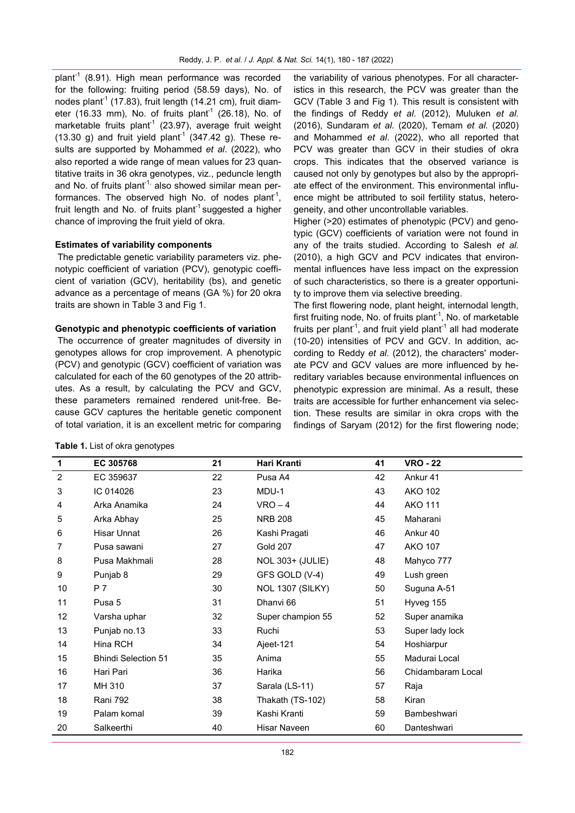plant<sup>-1</sup> (8.91). High mean performance was recorded for the following: fruiting period (58.59 days), No. of nodes plant<sup>-1</sup> (17.83), fruit length (14.21 cm), fruit diameter (16.33 mm), No. of fruits plant<sup>1</sup> (26.18), No. of marketable fruits plant<sup>1</sup> (23.97), average fruit weight  $(13.30 \text{ g})$  and fruit yield plant<sup>-1</sup>  $(347.42 \text{ g})$ . These results are supported by Mohammed *et al*. (2022), who also reported a wide range of mean values for 23 quantitative traits in 36 okra genotypes, viz., peduncle length and No. of fruits plant<sup>1,</sup> also showed similar mean performances. The observed high No. of nodes plant<sup>1</sup>, fruit length and No. of fruits plant<sup>-1</sup> suggested a higher chance of improving the fruit yield of okra.

## **Estimates of variability components**

The predictable genetic variability parameters viz. phenotypic coefficient of variation (PCV), genotypic coefficient of variation (GCV), heritability (bs), and genetic advance as a percentage of means (GA %) for 20 okra traits are shown in Table 3 and Fig 1.

### **Genotypic and phenotypic coefficients of variation**

The occurrence of greater magnitudes of diversity in genotypes allows for crop improvement. A phenotypic (PCV) and genotypic (GCV) coefficient of variation was calculated for each of the 60 genotypes of the 20 attributes. As a result, by calculating the PCV and GCV, these parameters remained rendered unit-free. Because GCV captures the heritable genetic component of total variation, it is an excellent metric for comparing

|  |  | Table 1. List of okra genotypes |  |
|--|--|---------------------------------|--|
|  |  |                                 |  |

the variability of various phenotypes. For all characteristics in this research, the PCV was greater than the GCV (Table 3 and Fig 1). This result is consistent with the findings of Reddy *et al.* (2012), Muluken *et al.* (2016), Sundaram *et al.* (2020), Temam *et al.* (2020) and Mohammed *et al*. (2022), who all reported that PCV was greater than GCV in their studies of okra crops. This indicates that the observed variance is caused not only by genotypes but also by the appropriate effect of the environment. This environmental influence might be attributed to soil fertility status, heterogeneity, and other uncontrollable variables.

Higher (>20) estimates of phenotypic (PCV) and genotypic (GCV) coefficients of variation were not found in any of the traits studied. According to Salesh *et al.* (2010), a high GCV and PCV indicates that environmental influences have less impact on the expression of such characteristics, so there is a greater opportunity to improve them via selective breeding.

The first flowering node, plant height, internodal length, first fruiting node, No. of fruits plant<sup>-1</sup>, No. of marketable fruits per plant<sup>-1</sup>, and fruit yield plant<sup>-1</sup> all had moderate (10-20) intensities of PCV and GCV. In addition, according to Reddy *et al.* (2012), the characters' moderate PCV and GCV values are more influenced by hereditary variables because environmental influences on phenotypic expression are minimal. As a result, these traits are accessible for further enhancement via selection. These results are similar in okra crops with the findings of Saryam (2012) for the first flowering node;

| 1              | EC 305768                  | 21 | Hari Kranti             | 41 | <b>VRO - 22</b>   |
|----------------|----------------------------|----|-------------------------|----|-------------------|
| $\overline{c}$ | EC 359637                  | 22 | Pusa A4                 | 42 | Ankur 41          |
| 3              | IC 014026                  | 23 | MDU-1                   | 43 | <b>AKO 102</b>    |
| 4              | Arka Anamika               | 24 | $VRO-4$                 | 44 | <b>AKO 111</b>    |
| 5              | Arka Abhay                 | 25 | <b>NRB 208</b>          | 45 | Maharani          |
| 6              | <b>Hisar Unnat</b>         | 26 | Kashi Pragati           | 46 | Ankur 40          |
| 7              | Pusa sawani                | 27 | Gold 207                | 47 | <b>AKO 107</b>    |
| 8              | Pusa Makhmali              | 28 | <b>NOL 303+ (JULIE)</b> | 48 | Mahyco 777        |
| 9              | Punjab 8                   | 29 | GFS GOLD (V-4)          | 49 | Lush green        |
| 10             | P 7                        | 30 | <b>NOL 1307 (SILKY)</b> | 50 | Suguna A-51       |
| 11             | Pusa 5                     | 31 | Dhanyi 66               | 51 | Hyveg 155         |
| 12             | Varsha uphar               | 32 | Super champion 55       | 52 | Super anamika     |
| 13             | Punjab no.13               | 33 | Ruchi                   | 53 | Super lady lock   |
| 14             | Hina RCH                   | 34 | Ajeet-121               | 54 | Hoshiarpur        |
| 15             | <b>Bhindi Selection 51</b> | 35 | Anima                   | 55 | Madurai Local     |
| 16             | Hari Pari                  | 36 | Harika                  | 56 | Chidambaram Local |
| 17             | MH 310                     | 37 | Sarala (LS-11)          | 57 | Raja              |
| 18             | Rani 792                   | 38 | Thakath (TS-102)        | 58 | Kiran             |
| 19             | Palam komal                | 39 | Kashi Kranti            | 59 | Bambeshwari       |
| 20             | Salkeerthi                 | 40 | Hisar Naveen            | 60 | Danteshwari       |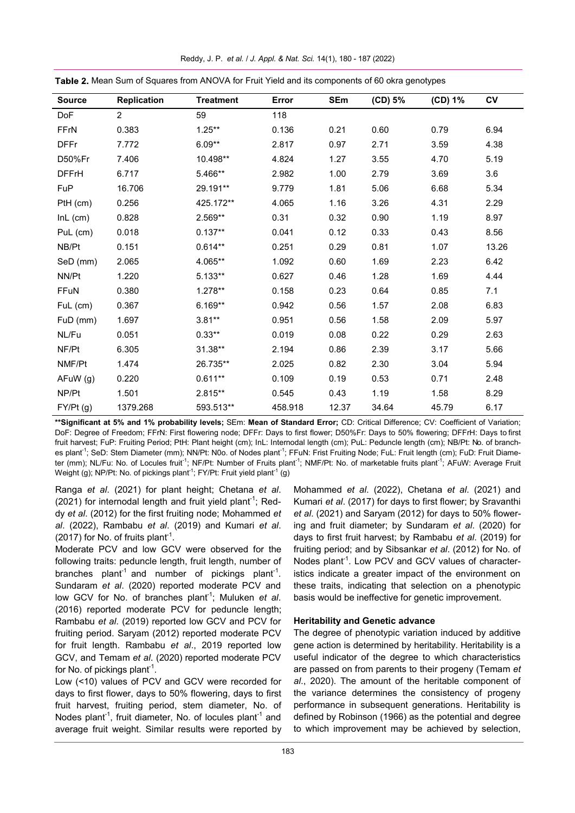| <b>Source</b> | Replication    | <b>Treatment</b> | Error   | SEm   | (CD) 5% | (CD) 1% | <b>CV</b> |
|---------------|----------------|------------------|---------|-------|---------|---------|-----------|
| <b>DoF</b>    | $\overline{2}$ | 59               | 118     |       |         |         |           |
| FFrN          | 0.383          | $1.25***$        | 0.136   | 0.21  | 0.60    | 0.79    | 6.94      |
| <b>DFFr</b>   | 7.772          | $6.09**$         | 2.817   | 0.97  | 2.71    | 3.59    | 4.38      |
| D50%Fr        | 7.406          | 10.498**         | 4.824   | 1.27  | 3.55    | 4.70    | 5.19      |
| <b>DFFrH</b>  | 6.717          | 5.466**          | 2.982   | 1.00  | 2.79    | 3.69    | 3.6       |
| FuP           | 16.706         | 29.191**         | 9.779   | 1.81  | 5.06    | 6.68    | 5.34      |
| PtH (cm)      | 0.256          | 425.172**        | 4.065   | 1.16  | 3.26    | 4.31    | 2.29      |
| InL (cm)      | 0.828          | 2.569**          | 0.31    | 0.32  | 0.90    | 1.19    | 8.97      |
| PuL (cm)      | 0.018          | $0.137**$        | 0.041   | 0.12  | 0.33    | 0.43    | 8.56      |
| NB/Pt         | 0.151          | $0.614**$        | 0.251   | 0.29  | 0.81    | 1.07    | 13.26     |
| SeD (mm)      | 2.065          | 4.065**          | 1.092   | 0.60  | 1.69    | 2.23    | 6.42      |
| NN/Pt         | 1.220          | $5.133**$        | 0.627   | 0.46  | 1.28    | 1.69    | 4.44      |
| FFuN          | 0.380          | $1.278**$        | 0.158   | 0.23  | 0.64    | 0.85    | 7.1       |
| FuL (cm)      | 0.367          | $6.169**$        | 0.942   | 0.56  | 1.57    | 2.08    | 6.83      |
| FuD (mm)      | 1.697          | $3.81**$         | 0.951   | 0.56  | 1.58    | 2.09    | 5.97      |
| NL/Fu         | 0.051          | $0.33**$         | 0.019   | 0.08  | 0.22    | 0.29    | 2.63      |
| NF/Pt         | 6.305          | 31.38**          | 2.194   | 0.86  | 2.39    | 3.17    | 5.66      |
| NMF/Pt        | 1.474          | 26.735**         | 2.025   | 0.82  | 2.30    | 3.04    | 5.94      |
| AFuW (g)      | 0.220          | $0.611**$        | 0.109   | 0.19  | 0.53    | 0.71    | 2.48      |
| NP/Pt         | 1.501          | 2.815**          | 0.545   | 0.43  | 1.19    | 1.58    | 8.29      |
| FY/Pt (g)     | 1379.268       | 593.513**        | 458.918 | 12.37 | 34.64   | 45.79   | 6.17      |

Reddy, J. P. *et al.* / *J. Appl. & Nat. Sci.* 14(1), 180 - 187 (2022)

Table 2. Mean Sum of Squares from ANOVA for Fruit Yield and its components of 60 okra genotypes

**\*\*Significant at 5% and 1% probability levels;** SEm: **Mean of Standard Error;** CD: Critical Difference; CV: Coefficient of Variation; DoF: Degree of Freedom; FFrN: First flowering node; DFFr: Days to first flower; D50%Fr: Days to 50% flowering; DFFrH: Days to first fruit harvest; FuP: Fruiting Period; PtH: Plant height (cm); InL: Internodal length (cm); PuL: Peduncle length (cm); NB/Pt: No. of branches plant<sup>-1</sup>; SeD: Stem Diameter (mm); NN/Pt: N0o. of Nodes plant<sup>-1</sup>; FFuN: Frist Fruiting Node; FuL: Fruit length (cm); FuD: Fruit Diameter (mm); NL/Fu: No. of Locules fruit<sup>-1</sup>; NF/Pt: Number of Fruits plant<sup>-1</sup>; NMF/Pt: No. of marketable fruits plant<sup>-1</sup>; AFuW: Average Fruit Weight (g); NP/Pt: No. of pickings plant $^1$ ; FY/Pt: Fruit yield plant $^1$  (g)

Ranga *et al*. (2021) for plant height; Chetana *et al*. (2021) for internodal length and fruit yield plant<sup>-1</sup>; Reddy *et al*. (2012) for the first fruiting node; Mohammed *et al*. (2022), Rambabu *et al*. (2019) and Kumari *et al*. (2017) for No. of fruits plant<sup>1</sup>.

Moderate PCV and low GCV were observed for the following traits: peduncle length, fruit length, number of branches plant<sup>1</sup> and number of pickings plant<sup>-1</sup>. Sundaram *et al*. (2020) reported moderate PCV and low GCV for No. of branches plant<sup>1</sup>; Muluken *et al.* (2016) reported moderate PCV for peduncle length; Rambabu *et al*. (2019) reported low GCV and PCV for fruiting period. Saryam (2012) reported moderate PCV for fruit length. Rambabu *et al*., 2019 reported low GCV, and Temam *et al*. (2020) reported moderate PCV for No. of pickings plant $^{\text{-}1}$ .

Low (<10) values of PCV and GCV were recorded for days to first flower, days to 50% flowering, days to first fruit harvest, fruiting period, stem diameter, No. of Nodes plant<sup>-1</sup>, fruit diameter, No. of locules plant<sup>-1</sup> and average fruit weight. Similar results were reported by Mohammed *et al*. (2022), Chetana *et al*. (2021) and Kumari *et al*. (2017) for days to first flower; by Sravanthi *et al*. (2021) and Saryam (2012) for days to 50% flowering and fruit diameter; by Sundaram *et al*. (2020) for days to first fruit harvest; by Rambabu *et al*. (2019) for fruiting period; and by Sibsankar *et al*. (2012) for No. of Nodes plant<sup>1</sup>. Low PCV and GCV values of characteristics indicate a greater impact of the environment on these traits, indicating that selection on a phenotypic basis would be ineffective for genetic improvement.

# **Heritability and Genetic advance**

The degree of phenotypic variation induced by additive gene action is determined by heritability. Heritability is a useful indicator of the degree to which characteristics are passed on from parents to their progeny (Temam *et al*., 2020). The amount of the heritable component of the variance determines the consistency of progeny performance in subsequent generations. Heritability is defined by Robinson (1966) as the potential and degree to which improvement may be achieved by selection,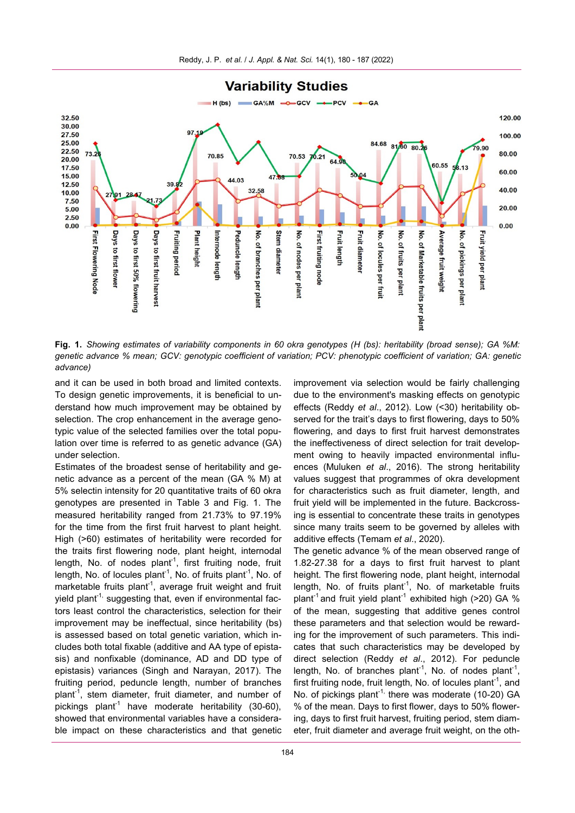

**Fig. 1.** *Showing estimates of variability components in 60 okra genotypes (H (bs): heritability (broad sense); GA %M: genetic advance % mean; GCV: genotypic coefficient of variation; PCV: phenotypic coefficient of variation; GA: genetic advance)*

and it can be used in both broad and limited contexts. To design genetic improvements, it is beneficial to understand how much improvement may be obtained by selection. The crop enhancement in the average genotypic value of the selected families over the total population over time is referred to as genetic advance (GA) under selection.

Estimates of the broadest sense of heritability and genetic advance as a percent of the mean (GA % M) at 5% selectin intensity for 20 quantitative traits of 60 okra genotypes are presented in Table 3 and Fig. 1. The measured heritability ranged from 21.73% to 97.19% for the time from the first fruit harvest to plant height. High (>60) estimates of heritability were recorded for the traits first flowering node, plant height, internodal length, No. of nodes plant<sup>1</sup>, first fruiting node, fruit length, No. of locules plant<sup>-1</sup>, No. of fruits plant<sup>-1</sup>, No. of marketable fruits plant<sup>-1</sup>, average fruit weight and fruit vield plant<sup>-1,</sup> suggesting that, even if environmental factors least control the characteristics, selection for their improvement may be ineffectual, since heritability (bs) is assessed based on total genetic variation, which includes both total fixable (additive and AA type of epistasis) and nonfixable (dominance, AD and DD type of epistasis) variances (Singh and Narayan, 2017). The fruiting period, peduncle length, number of branches plant<sup>-1</sup>, stem diameter, fruit diameter, and number of pickings plant<sup>-1</sup> have moderate heritability (30-60), showed that environmental variables have a considerable impact on these characteristics and that genetic improvement via selection would be fairly challenging due to the environment's masking effects on genotypic effects (Reddy *et al*., 2012). Low (<30) heritability observed for the trait's days to first flowering, days to 50% flowering, and days to first fruit harvest demonstrates the ineffectiveness of direct selection for trait development owing to heavily impacted environmental influences (Muluken *et al*., 2016). The strong heritability values suggest that programmes of okra development for characteristics such as fruit diameter, length, and fruit yield will be implemented in the future. Backcrossing is essential to concentrate these traits in genotypes since many traits seem to be governed by alleles with additive effects (Temam *et al*., 2020).

The genetic advance % of the mean observed range of 1.82-27.38 for a days to first fruit harvest to plant height. The first flowering node, plant height, internodal length, No. of fruits plant<sup>-1</sup>, No. of marketable fruits plant<sup>-1</sup> and fruit yield plant<sup>-1</sup> exhibited high (>20) GA % of the mean, suggesting that additive genes control these parameters and that selection would be rewarding for the improvement of such parameters. This indicates that such characteristics may be developed by direct selection (Reddy *et al*., 2012). For peduncle length, No. of branches plant<sup>-1</sup>, No. of nodes plant<sup>-1</sup>, first fruiting node, fruit length, No. of locules plant<sup>-1</sup>, and No. of pickings plant<sup>-1,</sup> there was moderate (10-20) GA % of the mean. Days to first flower, days to 50% flowering, days to first fruit harvest, fruiting period, stem diameter, fruit diameter and average fruit weight, on the oth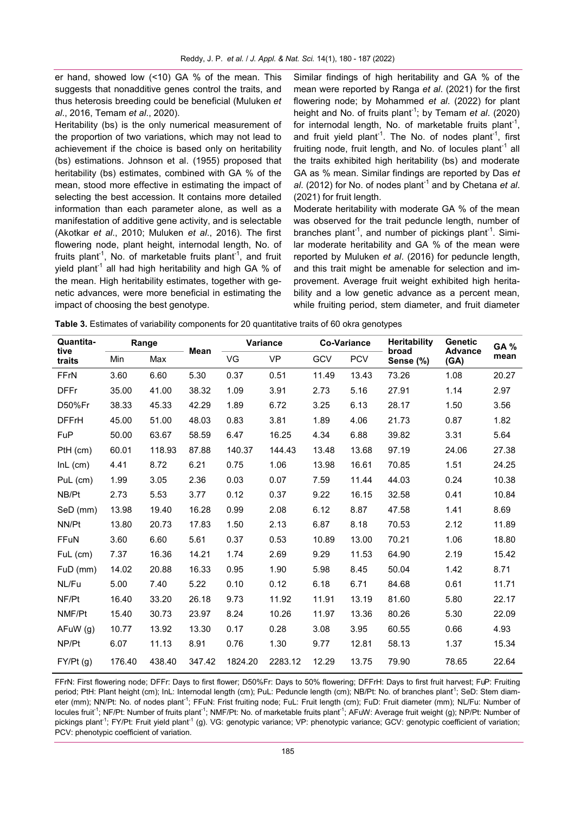er hand, showed low (<10) GA % of the mean. This suggests that nonadditive genes control the traits, and thus heterosis breeding could be beneficial (Muluken *et al*., 2016, Temam *et al*., 2020).

Heritability (bs) is the only numerical measurement of the proportion of two variations, which may not lead to achievement if the choice is based only on heritability (bs) estimations. Johnson et al. (1955) proposed that heritability (bs) estimates, combined with GA % of the mean, stood more effective in estimating the impact of selecting the best accession. It contains more detailed information than each parameter alone, as well as a manifestation of additive gene activity, and is selectable (Akotkar *et al*., 2010; Muluken *et al*., 2016). The first flowering node, plant height, internodal length, No. of fruits plant<sup>-1</sup>, No. of marketable fruits plant<sup>-1</sup>, and fruit yield plant<sup>-1</sup> all had high heritability and high GA % of the mean. High heritability estimates, together with genetic advances, were more beneficial in estimating the impact of choosing the best genotype.

Similar findings of high heritability and GA % of the mean were reported by Ranga *et al*. (2021) for the first flowering node; by Mohammed *et al*. (2022) for plant height and No. of fruits plant<sup>-1</sup>; by Temam *et al.* (2020) for internodal length, No. of marketable fruits plant<sup>-1</sup>, and fruit yield plant<sup>-1</sup>. The No. of nodes plant<sup>-1</sup>, first fruiting node, fruit length, and No. of locules plant<sup>-1</sup> all the traits exhibited high heritability (bs) and moderate GA as % mean. Similar findings are reported by Das *et*  al. (2012) for No. of nodes plant<sup>-1</sup> and by Chetana *et al*. (2021) for fruit length.

Moderate heritability with moderate GA % of the mean was observed for the trait peduncle length, number of branches plant<sup>-1</sup>, and number of pickings plant<sup>-1</sup>. Similar moderate heritability and GA % of the mean were reported by Muluken *et al*. (2016) for peduncle length, and this trait might be amenable for selection and improvement. Average fruit weight exhibited high heritability and a low genetic advance as a percent mean, while fruiting period, stem diameter, and fruit diameter

| Table 3. Estimates of variability components for 20 quantitative traits of 60 okra genotypes |  |  |  |
|----------------------------------------------------------------------------------------------|--|--|--|
|----------------------------------------------------------------------------------------------|--|--|--|

| Quantita-<br>tive<br>traits | Range  |        |        | Variance |           | <b>Co-Variance</b> |            | <b>Heritability</b> | <b>Genetic</b>         | <b>GA %</b> |
|-----------------------------|--------|--------|--------|----------|-----------|--------------------|------------|---------------------|------------------------|-------------|
|                             | Min    | Max    | Mean   | VG       | <b>VP</b> | GCV                | <b>PCV</b> | broad<br>Sense (%)  | <b>Advance</b><br>(GA) | mean        |
| FFrN                        | 3.60   | 6.60   | 5.30   | 0.37     | 0.51      | 11.49              | 13.43      | 73.26               | 1.08                   | 20.27       |
| <b>DFFr</b>                 | 35.00  | 41.00  | 38.32  | 1.09     | 3.91      | 2.73               | 5.16       | 27.91               | 1.14                   | 2.97        |
| D50%Fr                      | 38.33  | 45.33  | 42.29  | 1.89     | 6.72      | 3.25               | 6.13       | 28.17               | 1.50                   | 3.56        |
| <b>DFFrH</b>                | 45.00  | 51.00  | 48.03  | 0.83     | 3.81      | 1.89               | 4.06       | 21.73               | 0.87                   | 1.82        |
| FuP                         | 50.00  | 63.67  | 58.59  | 6.47     | 16.25     | 4.34               | 6.88       | 39.82               | 3.31                   | 5.64        |
| PtH (cm)                    | 60.01  | 118.93 | 87.88  | 140.37   | 144.43    | 13.48              | 13.68      | 97.19               | 24.06                  | 27.38       |
| InL (cm)                    | 4.41   | 8.72   | 6.21   | 0.75     | 1.06      | 13.98              | 16.61      | 70.85               | 1.51                   | 24.25       |
| PuL (cm)                    | 1.99   | 3.05   | 2.36   | 0.03     | 0.07      | 7.59               | 11.44      | 44.03               | 0.24                   | 10.38       |
| NB/Pt                       | 2.73   | 5.53   | 3.77   | 0.12     | 0.37      | 9.22               | 16.15      | 32.58               | 0.41                   | 10.84       |
| SeD (mm)                    | 13.98  | 19.40  | 16.28  | 0.99     | 2.08      | 6.12               | 8.87       | 47.58               | 1.41                   | 8.69        |
| NN/Pt                       | 13.80  | 20.73  | 17.83  | 1.50     | 2.13      | 6.87               | 8.18       | 70.53               | 2.12                   | 11.89       |
| FFuN                        | 3.60   | 6.60   | 5.61   | 0.37     | 0.53      | 10.89              | 13.00      | 70.21               | 1.06                   | 18.80       |
| FuL (cm)                    | 7.37   | 16.36  | 14.21  | 1.74     | 2.69      | 9.29               | 11.53      | 64.90               | 2.19                   | 15.42       |
| FuD (mm)                    | 14.02  | 20.88  | 16.33  | 0.95     | 1.90      | 5.98               | 8.45       | 50.04               | 1.42                   | 8.71        |
| NL/Fu                       | 5.00   | 7.40   | 5.22   | 0.10     | 0.12      | 6.18               | 6.71       | 84.68               | 0.61                   | 11.71       |
| NF/Pt                       | 16.40  | 33.20  | 26.18  | 9.73     | 11.92     | 11.91              | 13.19      | 81.60               | 5.80                   | 22.17       |
| NMF/Pt                      | 15.40  | 30.73  | 23.97  | 8.24     | 10.26     | 11.97              | 13.36      | 80.26               | 5.30                   | 22.09       |
| AFuW (g)                    | 10.77  | 13.92  | 13.30  | 0.17     | 0.28      | 3.08               | 3.95       | 60.55               | 0.66                   | 4.93        |
| NP/Pt                       | 6.07   | 11.13  | 8.91   | 0.76     | 1.30      | 9.77               | 12.81      | 58.13               | 1.37                   | 15.34       |
| FY/Pt(g)                    | 176.40 | 438.40 | 347.42 | 1824.20  | 2283.12   | 12.29              | 13.75      | 79.90               | 78.65                  | 22.64       |

FFrN: First flowering node; DFFr: Days to first flower; D50%Fr: Days to 50% flowering; DFFrH: Days to first fruit harvest; FuP: Fruiting period; PtH: Plant height (cm); InL: Internodal length (cm); PuL: Peduncle length (cm); NB/Pt: No. of branches plant<sup>1</sup>; SeD: Stem diameter (mm); NN/Pt: No. of nodes plant<sup>-1</sup>; FFuN: Frist fruiting node; FuL: Fruit length (cm); FuD: Fruit diameter (mm); NL/Fu: Number of locules fruit<sup>-1</sup>; NF/Pt: Number of fruits plant<sup>-1</sup>; NMF/Pt: No. of marketable fruits plant<sup>-1</sup>; AFuW: Average fruit weight (g); NP/Pt: Number of pickings plant<sup>-1</sup>; FY/Pt: Fruit yield plant<sup>-1</sup> (g). VG: genotypic variance; VP: phenotypic variance; GCV: genotypic coefficient of variation; PCV: phenotypic coefficient of variation.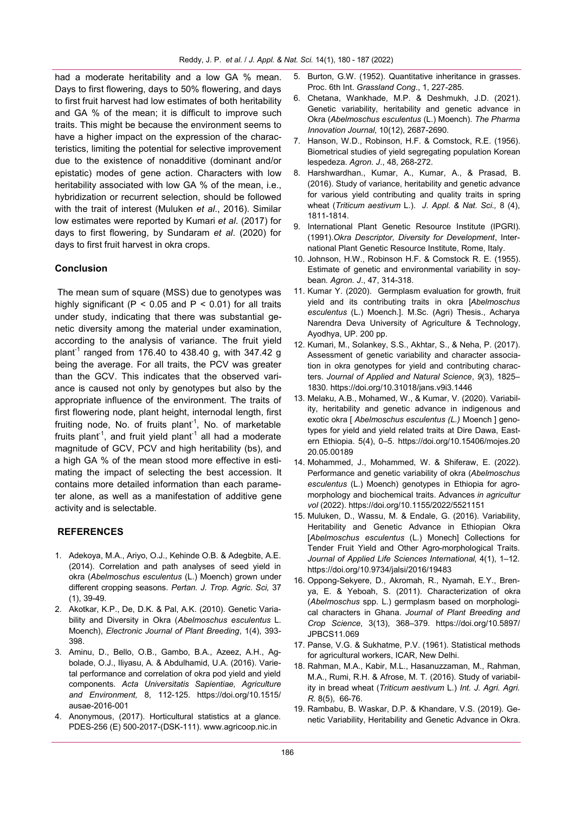had a moderate heritability and a low GA % mean. Days to first flowering, days to 50% flowering, and days to first fruit harvest had low estimates of both heritability and GA % of the mean; it is difficult to improve such traits. This might be because the environment seems to have a higher impact on the expression of the characteristics, limiting the potential for selective improvement due to the existence of nonadditive (dominant and/or epistatic) modes of gene action. Characters with low heritability associated with low GA % of the mean, i.e., hybridization or recurrent selection, should be followed with the trait of interest (Muluken *et al*., 2016). Similar low estimates were reported by Kumari *et al*. (2017) for days to first flowering, by Sundaram *et al*. (2020) for days to first fruit harvest in okra crops.

# **Conclusion**

The mean sum of square (MSS) due to genotypes was highly significant ( $P < 0.05$  and  $P < 0.01$ ) for all traits under study, indicating that there was substantial genetic diversity among the material under examination, according to the analysis of variance. The fruit yield plant<sup>-1</sup> ranged from 176.40 to 438.40 g, with 347.42 g being the average. For all traits, the PCV was greater than the GCV. This indicates that the observed variance is caused not only by genotypes but also by the appropriate influence of the environment. The traits of first flowering node, plant height, internodal length, first fruiting node, No. of fruits plant<sup>-1</sup>, No. of marketable fruits plant<sup>-1</sup>, and fruit yield plant<sup>-1</sup> all had a moderate magnitude of GCV, PCV and high heritability (bs), and a high GA % of the mean stood more effective in estimating the impact of selecting the best accession. It contains more detailed information than each parameter alone, as well as a manifestation of additive gene activity and is selectable.

## **REFERENCES**

- 1. Adekoya, M.A., Ariyo, O.J., Kehinde O.B. & Adegbite, A.E. (2014). Correlation and path analyses of seed yield in okra (*Abelmoschus esculentus* (L.) Moench) grown under different cropping seasons. *Pertan. J. Trop. Agric. Sci,* 37 (1), 39-49.
- 2. Akotkar, K.P., De, D.K. & Pal, A.K. (2010). Genetic Variability and Diversity in Okra (*Abelmoschus esculentus* L. Moench), *Electronic Journal of Plant Breeding*, 1(4), 393- 398.
- 3. Aminu, D., Bello, O.B., Gambo, B.A., Azeez, A.H., Agbolade, O.J., Iliyasu, A. & Abdulhamid, U.A. (2016). Varietal performance and correlation of okra pod yield and yield components. *Acta Universitatis Sapientiae, Agriculture and Environment,* 8, 112-125. [https://doi.org/10.1515/](https://doi.org/10.1515/ausae-2016-001) [ausae](https://doi.org/10.1515/ausae-2016-001)-2016-001
- 4. Anonymous, (2017). Horticultural statistics at a glance. PDES-256 (E) 500-2017-(DSK-111). www.agricoop.nic.in
- 5. Burton, G.W. (1952). Quantitative inheritance in grasses. Proc. 6th Int. *Grassland Cong*., 1, 227-285.
- 6. Chetana, Wankhade, M.P. & Deshmukh, J.D. (2021). Genetic variability, heritability and genetic advance in Okra (*Abelmoschus esculentus* (L.) Moench). *The Pharma Innovation Journal*, 10(12), 2687-2690.
- 7. Hanson, W.D., Robinson, H.F. & Comstock, R.E. (1956). Biometrical studies of yield segregating population Korean lespedeza. *Agron. J*., 48, 268-272.
- 8. Harshwardhan., Kumar, A., Kumar, A., & Prasad, B. (2016). Study of variance, heritability and genetic advance for various yield contributing and quality traits in spring wheat (*Triticum aestivum* L.). *J. Appl. & Nat. Sci.,* 8 (4), 1811-1814.
- 9. International Plant Genetic Resource Institute (IPGRI). (1991).*Okra Descriptor, Diversity for Development*, International Plant Genetic Resource Institute, Rome, Italy.
- 10. Johnson, H.W., Robinson H.F. & Comstock R. E. (1955). Estimate of genetic and environmental variability in soybean*. Agron. J*., 47, 314-318.
- 11. Kumar Y. (2020). Germplasm evaluation for growth, fruit yield and its contributing traits in okra [*Abelmoschus esculentus* (L.) Moench.]. M.Sc. (Agri) Thesis., Acharya Narendra Deva University of Agriculture & Technology, Ayodhya, UP. 200 pp.
- 12. Kumari, M., Solankey, S.S., Akhtar, S., & Neha, P. (2017). Assessment of genetic variability and character association in okra genotypes for yield and contributing characters. *Journal of Applied and Natural Science*, *9*(3), 1825– 1830.<https://doi.org/10.31018/jans.v9i3.1446>
- 13. Melaku, A.B., Mohamed, W., & Kumar, V. (2020). Variability, heritability and genetic advance in indigenous and exotic okra [ *Abelmoschus esculentus (L.)* Moench ] genotypes for yield and yield related traits at Dire Dawa, Eastern Ethiopia. 5(4), 0–5. [https://doi.org/10.15406/mojes.20](https://doi.org/10.15406/mojes.2020.05.00189)  [20.05.00189](https://doi.org/10.15406/mojes.2020.05.00189)
- 14. Mohammed, J., Mohammed, W. & Shiferaw, E. (2022). Performance and genetic variability of okra (*Abelmoschus esculentus* (L.) Moench) genotypes in Ethiopia for agromorphology and biochemical traits. Advances *in agricultur vol* (2022).<https://doi.org/10.1155/2022/5521151>
- 15. Muluken, D., Wassu, M. & Endale, G. (2016). Variability, Heritability and Genetic Advance in Ethiopian Okra [*Abelmoschus esculentus* (L.) Monech] Collections for Tender Fruit Yield and Other Agro-morphological Traits. *Journal of Applied Life Sciences International*, 4(1), 1–12. <https://doi.org/10.9734/jalsi/2016/19483>
- 16. Oppong-Sekyere, D., Akromah, R., Nyamah, E.Y., Brenya, E. & Yeboah, S. (2011). Characterization of okra (*Abelmoschus* spp. L.) germplasm based on morphological characters in Ghana. *Journal of Plant Breeding and Crop Science*, 3(13), 368–379. [https://doi.org/10.5897/](https://doi.org/10.5897/JPBCS11.069) [JPBCS11.069](https://doi.org/10.5897/JPBCS11.069)
- 17. Panse, V.G. & Sukhatme, P.V. (1961). Statistical methods for agricultural workers, ICAR, New Delhi.
- 18. Rahman, M.A., Kabir, M.L., Hasanuzzaman, M., Rahman, M.A., Rumi, R.H. & Afrose, M. T. (2016). Study of variability in bread wheat (*Triticum aestivum* L.) *Int. J. Agri. Agri. R.* 8(5), 66-76.
- 19. Rambabu, B. Waskar, D.P. & Khandare, V.S. (2019). Genetic Variability, Heritability and Genetic Advance in Okra.